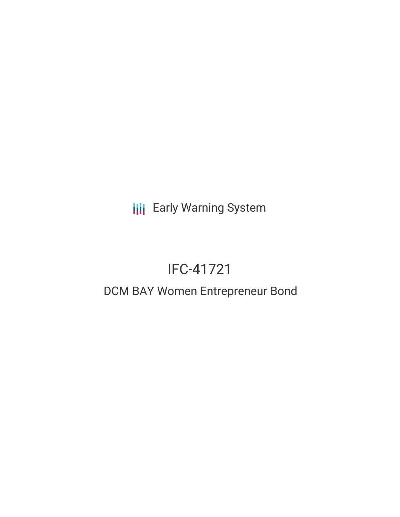**III** Early Warning System

# IFC-41721

## DCM BAY Women Entrepreneur Bond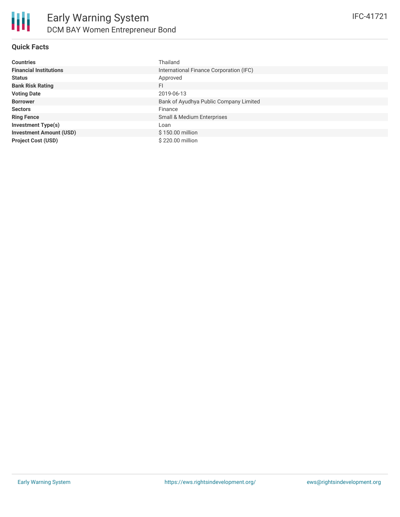| <b>Countries</b>               | Thailand                                |
|--------------------------------|-----------------------------------------|
| <b>Financial Institutions</b>  | International Finance Corporation (IFC) |
| <b>Status</b>                  | Approved                                |
| <b>Bank Risk Rating</b>        | FI.                                     |
| <b>Voting Date</b>             | 2019-06-13                              |
| <b>Borrower</b>                | Bank of Ayudhya Public Company Limited  |
| <b>Sectors</b>                 | Finance                                 |
| <b>Ring Fence</b>              | <b>Small &amp; Medium Enterprises</b>   |
| <b>Investment Type(s)</b>      | Loan                                    |
| <b>Investment Amount (USD)</b> | \$150.00 million                        |
| <b>Project Cost (USD)</b>      | \$220,00 million                        |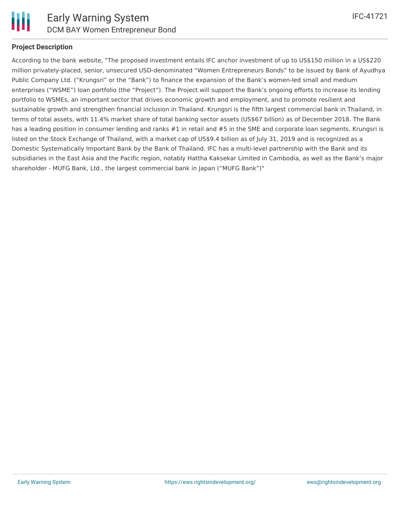

### **Project Description**

According to the bank website, "The proposed investment entails IFC anchor investment of up to US\$150 million in a US\$220 million privately-placed, senior, unsecured USD-denominated "Women Entrepreneurs Bonds" to be issued by Bank of Ayudhya Public Company Ltd. ("Krungsri" or the "Bank") to finance the expansion of the Bank's women-led small and medium enterprises ("WSME") loan portfolio (the "Project"). The Project will support the Bank's ongoing efforts to increase its lending portfolio to WSMEs, an important sector that drives economic growth and employment, and to promote resilient and sustainable growth and strengthen financial inclusion in Thailand. Krungsri is the fifth largest commercial bank in Thailand, in terms of total assets, with 11.4% market share of total banking sector assets (US\$67 billion) as of December 2018. The Bank has a leading position in consumer lending and ranks #1 in retail and #5 in the SME and corporate loan segments. Krungsri is listed on the Stock Exchange of Thailand, with a market cap of US\$9.4 billion as of July 31, 2019 and is recognized as a Domestic Systematically Important Bank by the Bank of Thailand. IFC has a multi-level partnership with the Bank and its subsidiaries in the East Asia and the Pacific region, notably Hattha Kaksekar Limited in Cambodia, as well as the Bank's major shareholder - MUFG Bank, Ltd., the largest commercial bank in Japan ("MUFG Bank")"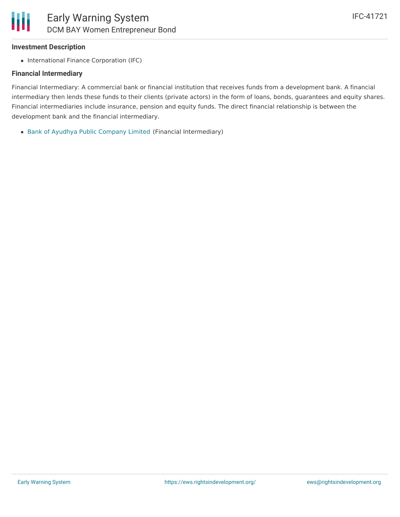#### **Investment Description**

• International Finance Corporation (IFC)

#### **Financial Intermediary**

Financial Intermediary: A commercial bank or financial institution that receives funds from a development bank. A financial intermediary then lends these funds to their clients (private actors) in the form of loans, bonds, guarantees and equity shares. Financial intermediaries include insurance, pension and equity funds. The direct financial relationship is between the development bank and the financial intermediary.

Bank of Ayudhya Public [Company](file:///actor/2358/) Limited (Financial Intermediary)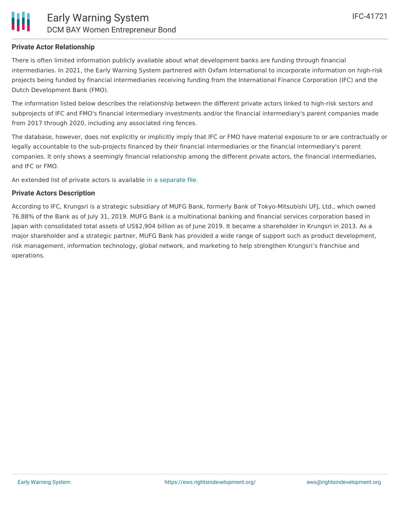#### **Private Actor Relationship**

There is often limited information publicly available about what development banks are funding through financial intermediaries. In 2021, the Early Warning System partnered with Oxfam International to incorporate information on high-risk projects being funded by financial intermediaries receiving funding from the International Finance Corporation (IFC) and the Dutch Development Bank (FMO).

The information listed below describes the relationship between the different private actors linked to high-risk sectors and subprojects of IFC and FMO's financial intermediary investments and/or the financial intermediary's parent companies made from 2017 through 2020, including any associated ring fences.

The database, however, does not explicitly or implicitly imply that IFC or FMO have material exposure to or are contractually or legally accountable to the sub-projects financed by their financial intermediaries or the financial intermediary's parent companies. It only shows a seemingly financial relationship among the different private actors, the financial intermediaries, and IFC or FMO.

An extended list of private actors is available in a [separate](https://docs.google.com/spreadsheets/d/12cqqtZBBd4NCToG0aSy-rR52Yk7BVLqT3VHV-QPvrTc/edit?usp=sharing) file.

#### **Private Actors Description**

According to IFC, Krungsri is a strategic subsidiary of MUFG Bank, formerly Bank of Tokyo-Mitsubishi UFJ, Ltd., which owned 76.88% of the Bank as of July 31, 2019. MUFG Bank is a multinational banking and financial services corporation based in Japan with consolidated total assets of US\$2,904 billion as of June 2019. It became a shareholder in Krungsri in 2013. As a major shareholder and a strategic partner, MUFG Bank has provided a wide range of support such as product development, risk management, information technology, global network, and marketing to help strengthen Krungsri's franchise and operations.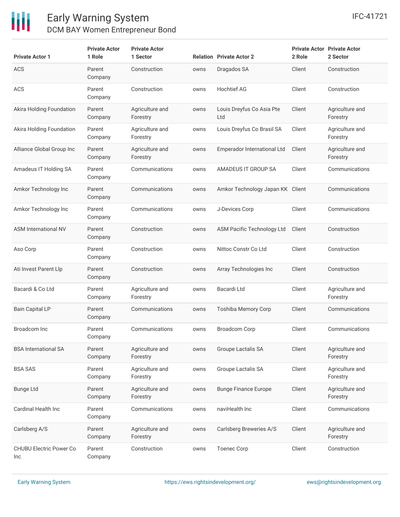

**Private Actor**

**Private Actor**

|             |        | IFC-41721                                      |
|-------------|--------|------------------------------------------------|
|             | 2 Role | <b>Private Actor Private Actor</b><br>2 Sector |
|             | Client | Construction                                   |
|             | Client | Construction                                   |
| Co Asia Pte | Client | Agriculture and                                |

| <b>Private Actor 1</b>                | 1 Role            | 1 Sector                    |      | <b>Relation Private Actor 2</b>  | 2 Role | 2 Sector                    |
|---------------------------------------|-------------------|-----------------------------|------|----------------------------------|--------|-----------------------------|
| <b>ACS</b>                            | Parent<br>Company | Construction                | owns | Dragados SA                      | Client | Construction                |
| ACS                                   | Parent<br>Company | Construction                | owns | <b>Hochtief AG</b>               | Client | Construction                |
| Akira Holding Foundation              | Parent<br>Company | Agriculture and<br>Forestry | owns | Louis Dreyfus Co Asia Pte<br>Ltd | Client | Agriculture and<br>Forestry |
| Akira Holding Foundation              | Parent<br>Company | Agriculture and<br>Forestry | owns | Louis Dreyfus Co Brasil SA       | Client | Agriculture and<br>Forestry |
| Alliance Global Group Inc             | Parent<br>Company | Agriculture and<br>Forestry | owns | Emperador International Ltd      | Client | Agriculture and<br>Forestry |
| Amadeus IT Holding SA                 | Parent<br>Company | Communications              | owns | AMADEUS IT GROUP SA              | Client | Communications              |
| Amkor Technology Inc                  | Parent<br>Company | Communications              | owns | Amkor Technology Japan KK Client |        | Communications              |
| Amkor Technology Inc                  | Parent<br>Company | Communications              | owns | J-Devices Corp                   | Client | Communications              |
| ASM International NV                  | Parent<br>Company | Construction                | owns | ASM Pacific Technology Ltd       | Client | Construction                |
| Aso Corp                              | Parent<br>Company | Construction                | owns | Nittoc Constr Co Ltd             | Client | Construction                |
| Ati Invest Parent Llp                 | Parent<br>Company | Construction                | owns | Array Technologies Inc           | Client | Construction                |
| Bacardi & Co Ltd                      | Parent<br>Company | Agriculture and<br>Forestry | owns | Bacardi Ltd                      | Client | Agriculture and<br>Forestry |
| <b>Bain Capital LP</b>                | Parent<br>Company | Communications              | owns | <b>Toshiba Memory Corp</b>       | Client | Communications              |
| Broadcom Inc                          | Parent<br>Company | Communications              | owns | <b>Broadcom Corp</b>             | Client | Communications              |
| <b>BSA International SA</b>           | Parent<br>Company | Agriculture and<br>Forestry | owns | Groupe Lactalis SA               | Client | Agriculture and<br>Forestry |
| <b>BSA SAS</b>                        | Parent<br>Company | Agriculture and<br>Forestry | owns | Groupe Lactalis SA               | Client | Agriculture and<br>Forestry |
| <b>Bunge Ltd</b>                      | Parent<br>Company | Agriculture and<br>Forestry | owns | <b>Bunge Finance Europe</b>      | Client | Agriculture and<br>Forestry |
| Cardinal Health Inc                   | Parent<br>Company | Communications              | owns | naviHealth Inc                   | Client | Communications              |
| Carlsberg A/S                         | Parent<br>Company | Agriculture and<br>Forestry | owns | Carlsberg Breweries A/S          | Client | Agriculture and<br>Forestry |
| <b>CHUBU Electric Power Co</b><br>Inc | Parent<br>Company | Construction                | owns | <b>Toenec Corp</b>               | Client | Construction                |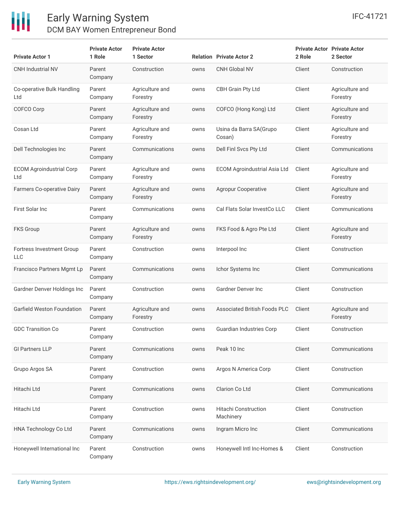

| <b>Private Actor 1</b>                  | <b>Private Actor</b><br>1 Role | <b>Private Actor</b><br>1 Sector |      | <b>Relation Private Actor 2</b>          | 2 Role | <b>Private Actor Private Actor</b><br>2 Sector |
|-----------------------------------------|--------------------------------|----------------------------------|------|------------------------------------------|--------|------------------------------------------------|
| CNH Industrial NV                       | Parent<br>Company              | Construction                     | owns | <b>CNH Global NV</b>                     | Client | Construction                                   |
| Co-operative Bulk Handling<br>Ltd       | Parent<br>Company              | Agriculture and<br>Forestry      | owns | <b>CBH Grain Pty Ltd</b>                 | Client | Agriculture and<br>Forestry                    |
| COFCO Corp                              | Parent<br>Company              | Agriculture and<br>Forestry      | owns | COFCO (Hong Kong) Ltd                    | Client | Agriculture and<br>Forestry                    |
| Cosan Ltd                               | Parent<br>Company              | Agriculture and<br>Forestry      | owns | Usina da Barra SA (Grupo<br>Cosan)       | Client | Agriculture and<br>Forestry                    |
| Dell Technologies Inc                   | Parent<br>Company              | Communications                   | owns | Dell Finl Svcs Pty Ltd                   | Client | Communications                                 |
| <b>ECOM Agroindustrial Corp</b><br>Ltd  | Parent<br>Company              | Agriculture and<br>Forestry      | owns | <b>ECOM Agroindustrial Asia Ltd</b>      | Client | Agriculture and<br>Forestry                    |
| Farmers Co-operative Dairy              | Parent<br>Company              | Agriculture and<br>Forestry      | owns | <b>Agropur Cooperative</b>               | Client | Agriculture and<br>Forestry                    |
| First Solar Inc                         | Parent<br>Company              | Communications                   | owns | Cal Flats Solar InvestCo LLC             | Client | Communications                                 |
| <b>FKS Group</b>                        | Parent<br>Company              | Agriculture and<br>Forestry      | owns | FKS Food & Agro Pte Ltd                  | Client | Agriculture and<br>Forestry                    |
| Fortress Investment Group<br><b>LLC</b> | Parent<br>Company              | Construction                     | owns | Interpool Inc                            | Client | Construction                                   |
| Francisco Partners Mgmt Lp              | Parent<br>Company              | Communications                   | owns | Ichor Systems Inc                        | Client | Communications                                 |
| Gardner Denver Holdings Inc             | Parent<br>Company              | Construction                     | owns | <b>Gardner Denver Inc</b>                | Client | Construction                                   |
| Garfield Weston Foundation              | Parent<br>Company              | Agriculture and<br>Forestry      | owns | <b>Associated British Foods PLC</b>      | Client | Agriculture and<br>Forestry                    |
| <b>GDC Transition Co</b>                | Parent<br>Company              | Construction                     | owns | <b>Guardian Industries Corp</b>          | Client | Construction                                   |
| <b>GI Partners LLP</b>                  | Parent<br>Company              | Communications                   | owns | Peak 10 Inc                              | Client | Communications                                 |
| Grupo Argos SA                          | Parent<br>Company              | Construction                     | owns | Argos N America Corp                     | Client | Construction                                   |
| Hitachi Ltd                             | Parent<br>Company              | Communications                   | owns | Clarion Co Ltd                           | Client | Communications                                 |
| Hitachi Ltd                             | Parent<br>Company              | Construction                     | owns | <b>Hitachi Construction</b><br>Machinery | Client | Construction                                   |
| HNA Technology Co Ltd                   | Parent<br>Company              | Communications                   | owns | Ingram Micro Inc                         | Client | Communications                                 |
| Honeywell International Inc             | Parent<br>Company              | Construction                     | owns | Honeywell Intl Inc-Homes &               | Client | Construction                                   |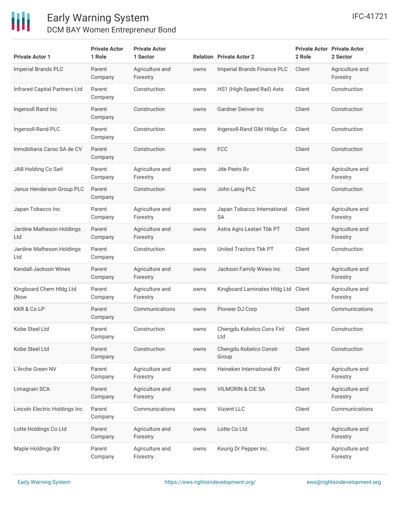

| <b>Private Actor 1</b>               | <b>Private Actor</b><br>1 Role | <b>Private Actor</b><br>1 Sector |      | <b>Relation Private Actor 2</b>          | 2 Role | <b>Private Actor Private Actor</b><br>2 Sector |
|--------------------------------------|--------------------------------|----------------------------------|------|------------------------------------------|--------|------------------------------------------------|
| <b>Imperial Brands PLC</b>           | Parent<br>Company              | Agriculture and<br>Forestry      | owns | Imperial Brands Finance PLC              | Client | Agriculture and<br>Forestry                    |
| <b>Infrared Capital Partners Ltd</b> | Parent<br>Company              | Construction                     | owns | HS1 (High-Speed Rail) Asts               | Client | Construction                                   |
| Ingersoll Rand Inc                   | Parent<br>Company              | Construction                     | owns | <b>Gardner Denver Inc</b>                | Client | Construction                                   |
| Ingersoll-Rand PLC                   | Parent<br>Company              | Construction                     | owns | Ingersoll-Rand Glbl Hldgs Co             | Client | Construction                                   |
| Inmobiliaria Carso SA de CV          | Parent<br>Company              | Construction                     | owns | <b>FCC</b>                               | Client | Construction                                   |
| JAB Holding Co Sarl                  | Parent<br>Company              | Agriculture and<br>Forestry      | owns | Jde Peets Bv                             | Client | Agriculture and<br>Forestry                    |
| Janus Henderson Group PLC            | Parent<br>Company              | Construction                     | owns | John Laing PLC                           | Client | Construction                                   |
| Japan Tobacco Inc                    | Parent<br>Company              | Agriculture and<br>Forestry      | owns | Japan Tobacco International<br><b>SA</b> | Client | Agriculture and<br>Forestry                    |
| Jardine Matheson Holdings<br>Ltd     | Parent<br>Company              | Agriculture and<br>Forestry      | owns | Astra Agro Lestari Tbk PT                | Client | Agriculture and<br>Forestry                    |
| Jardine Matheson Holdings<br>Ltd     | Parent<br>Company              | Construction                     | owns | United Tractors Tbk PT                   | Client | Construction                                   |
| Kendall-Jackson Wines                | Parent<br>Company              | Agriculture and<br>Forestry      | owns | Jackson Family Wines Inc                 | Client | Agriculture and<br>Forestry                    |
| Kingboard Chem Hldg Ltd<br>(Now      | Parent<br>Company              | Agriculture and<br>Forestry      | owns | Kingboard Laminates Hldg Ltd Client      |        | Agriculture and<br>Forestry                    |
| <b>KKR &amp; Co LP</b>               | Parent<br>Company              | Communications                   | owns | Pioneer DJ Corp                          | Client | Communications                                 |
| Kobe Steel Ltd                       | Parent<br>Company              | Construction                     | owns | Chengdu Kobelco Cons Finl<br>Ltd         | Client | Construction                                   |
| Kobe Steel Ltd                       | Parent<br>Company              | Construction                     | owns | Chengdu Kobelco Constr<br>Group          | Client | Construction                                   |
| L'Arche Green NV                     | Parent<br>Company              | Agriculture and<br>Forestry      | owns | Heineken International BV                | Client | Agriculture and<br>Forestry                    |
| Limagrain SCA                        | Parent<br>Company              | Agriculture and<br>Forestry      | owns | <b>VILMORIN &amp; CIE SA</b>             | Client | Agriculture and<br>Forestry                    |
| Lincoln Electric Holdings Inc        | Parent<br>Company              | Communications                   | owns | Vizient LLC                              | Client | Communications                                 |
| Lotte Holdings Co Ltd                | Parent<br>Company              | Agriculture and<br>Forestry      | owns | Lotte Co Ltd                             | Client | Agriculture and<br>Forestry                    |
| Maple Holdings BV                    | Parent<br>Company              | Agriculture and<br>Forestry      | owns | Keurig Dr Pepper Inc                     | Client | Agriculture and<br>Forestry                    |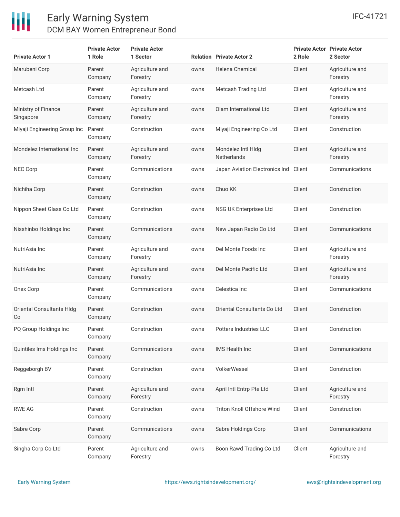

| <b>Private Actor 1</b>           | <b>Private Actor</b><br>1 Role | <b>Private Actor</b><br>1 Sector |      | <b>Relation Private Actor 2</b>          | 2 Role | <b>Private Actor Private Actor</b><br>2 Sector |
|----------------------------------|--------------------------------|----------------------------------|------|------------------------------------------|--------|------------------------------------------------|
| Marubeni Corp                    | Parent<br>Company              | Agriculture and<br>Forestry      | owns | Helena Chemical                          | Client | Agriculture and<br>Forestry                    |
| Metcash Ltd                      | Parent<br>Company              | Agriculture and<br>Forestry      | owns | Metcash Trading Ltd                      | Client | Agriculture and<br>Forestry                    |
| Ministry of Finance<br>Singapore | Parent<br>Company              | Agriculture and<br>Forestry      | owns | Olam International Ltd                   | Client | Agriculture and<br>Forestry                    |
| Miyaji Engineering Group Inc     | Parent<br>Company              | Construction                     | owns | Miyaji Engineering Co Ltd                | Client | Construction                                   |
| Mondelez International Inc       | Parent<br>Company              | Agriculture and<br>Forestry      | owns | Mondelez Intl Hldg<br><b>Netherlands</b> | Client | Agriculture and<br>Forestry                    |
| <b>NEC Corp</b>                  | Parent<br>Company              | Communications                   | owns | Japan Aviation Electronics Ind           | Client | Communications                                 |
| Nichiha Corp                     | Parent<br>Company              | Construction                     | owns | Chuo KK                                  | Client | Construction                                   |
| Nippon Sheet Glass Co Ltd        | Parent<br>Company              | Construction                     | owns | NSG UK Enterprises Ltd                   | Client | Construction                                   |
| Nisshinbo Holdings Inc           | Parent<br>Company              | Communications                   | owns | New Japan Radio Co Ltd                   | Client | Communications                                 |
| NutriAsia Inc                    | Parent<br>Company              | Agriculture and<br>Forestry      | owns | Del Monte Foods Inc                      | Client | Agriculture and<br>Forestry                    |
| NutriAsia Inc                    | Parent<br>Company              | Agriculture and<br>Forestry      | owns | Del Monte Pacific Ltd                    | Client | Agriculture and<br>Forestry                    |
| Onex Corp                        | Parent<br>Company              | Communications                   | owns | Celestica Inc                            | Client | Communications                                 |
| Oriental Consultants HIdg<br>Co  | Parent<br>Company              | Construction                     | owns | Oriental Consultants Co Ltd              | Client | Construction                                   |
| PQ Group Holdings Inc            | Parent<br>Company              | Construction                     | owns | Potters Industries LLC                   | Client | Construction                                   |
| Quintiles Ims Holdings Inc       | Parent<br>Company              | Communications                   | owns | IMS Health Inc                           | Client | Communications                                 |
| Reggeborgh BV                    | Parent<br>Company              | Construction                     | owns | <b>VolkerWessel</b>                      | Client | Construction                                   |
| Rgm Intl                         | Parent<br>Company              | Agriculture and<br>Forestry      | owns | April Intl Entrp Pte Ltd                 | Client | Agriculture and<br>Forestry                    |
| <b>RWE AG</b>                    | Parent<br>Company              | Construction                     | owns | Triton Knoll Offshore Wind               | Client | Construction                                   |
| Sabre Corp                       | Parent<br>Company              | Communications                   | owns | Sabre Holdings Corp                      | Client | Communications                                 |
| Singha Corp Co Ltd               | Parent<br>Company              | Agriculture and<br>Forestry      | owns | Boon Rawd Trading Co Ltd                 | Client | Agriculture and<br>Forestry                    |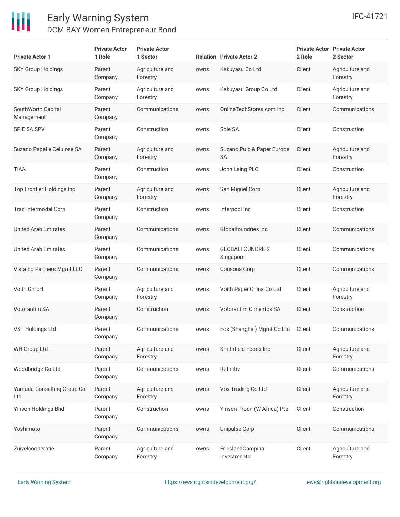

| <b>Private Actor 1</b>            | <b>Private Actor</b><br>1 Role | <b>Private Actor</b><br>1 Sector |      | <b>Relation Private Actor 2</b>     | 2 Role | <b>Private Actor Private Actor</b><br>2 Sector |
|-----------------------------------|--------------------------------|----------------------------------|------|-------------------------------------|--------|------------------------------------------------|
| <b>SKY Group Holdings</b>         | Parent<br>Company              | Agriculture and<br>Forestry      | owns | Kakuyasu Co Ltd                     | Client | Agriculture and<br>Forestry                    |
| <b>SKY Group Holdings</b>         | Parent<br>Company              | Agriculture and<br>Forestry      | owns | Kakuyasu Group Co Ltd               | Client | Agriculture and<br>Forestry                    |
| SouthWorth Capital<br>Management  | Parent<br>Company              | Communications                   | owns | OnlineTechStores.com Inc            | Client | Communications                                 |
| <b>SPIE SA SPV</b>                | Parent<br>Company              | Construction                     | owns | Spie SA                             | Client | Construction                                   |
| Suzano Papel e Celulose SA        | Parent<br>Company              | Agriculture and<br>Forestry      | owns | Suzano Pulp & Paper Europe<br>SA    | Client | Agriculture and<br>Forestry                    |
| TIAA                              | Parent<br>Company              | Construction                     | owns | John Laing PLC                      | Client | Construction                                   |
| Top Frontier Holdings Inc         | Parent<br>Company              | Agriculture and<br>Forestry      | owns | San Miguel Corp                     | Client | Agriculture and<br>Forestry                    |
| Trac Intermodal Corp              | Parent<br>Company              | Construction                     | owns | Interpool Inc                       | Client | Construction                                   |
| <b>United Arab Emirates</b>       | Parent<br>Company              | Communications                   | owns | Globalfoundries Inc                 | Client | Communications                                 |
| <b>United Arab Emirates</b>       | Parent<br>Company              | Communications                   | owns | <b>GLOBALFOUNDRIES</b><br>Singapore | Client | Communications                                 |
| Vista Eq Partners Mgmt LLC        | Parent<br>Company              | Communications                   | owns | Consona Corp                        | Client | Communications                                 |
| Voith GmbH                        | Parent<br>Company              | Agriculture and<br>Forestry      | owns | Voith Paper China Co Ltd            | Client | Agriculture and<br>Forestry                    |
| <b>Votorantim SA</b>              | Parent<br>Company              | Construction                     | owns | <b>Votorantim Cimentos SA</b>       | Client | Construction                                   |
| VST Holdings Ltd                  | Parent<br>Company              | Communications                   | owns | Ecs (Shanghai) Mgmt Co Ltd          | Client | Communications                                 |
| <b>WH Group Ltd</b>               | Parent<br>Company              | Agriculture and<br>Forestry      | owns | Smithfield Foods Inc                | Client | Agriculture and<br>Forestry                    |
| Woodbridge Co Ltd                 | Parent<br>Company              | Communications                   | owns | Refinitiv                           | Client | Communications                                 |
| Yamada Consulting Group Co<br>Ltd | Parent<br>Company              | Agriculture and<br>Forestry      | owns | Vox Trading Co Ltd                  | Client | Agriculture and<br>Forestry                    |
| Yinson Holdings Bhd               | Parent<br>Company              | Construction                     | owns | Yinson Prodn (W Africa) Pte         | Client | Construction                                   |
| Yoshimoto                         | Parent<br>Company              | Communications                   | owns | Unipulse Corp                       | Client | Communications                                 |
| Zuivelcooperatie                  | Parent<br>Company              | Agriculture and<br>Forestry      | owns | FrieslandCampina<br>Investments     | Client | Agriculture and<br>Forestry                    |